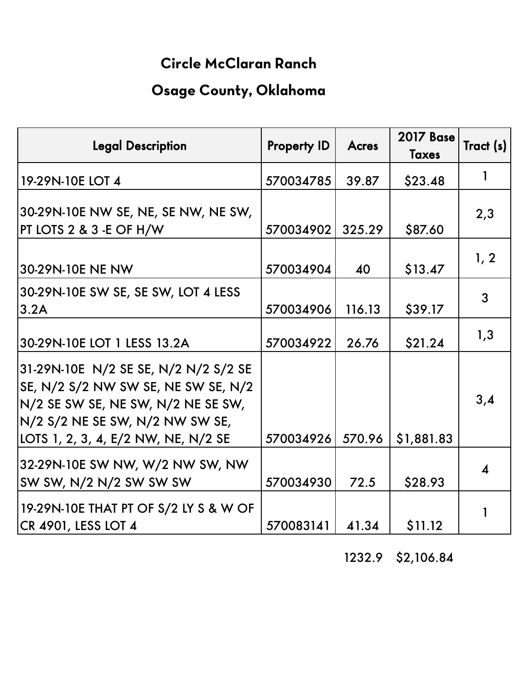## **Circle McClaran Ranch**

## **Osage County, Oklahoma**

| <b>Legal Description</b>                                                                                                                                                                    | <b>Property ID</b> | <b>Acres</b> | <b>2017 Base</b><br><b>Taxes</b> | Tract (s)              |
|---------------------------------------------------------------------------------------------------------------------------------------------------------------------------------------------|--------------------|--------------|----------------------------------|------------------------|
| 19-29N-10E LOT 4                                                                                                                                                                            | 570034785          | 39.87        | \$23.48                          |                        |
| 30-29N-10E NW SE, NE, SE NW, NE SW,<br>PT LOTS 2 & 3 - E OF H/W                                                                                                                             | 570034902          | 325.29       | \$87.60                          | 2,3                    |
| 30-29N-10E NE NW                                                                                                                                                                            | 570034904          | 40           | \$13.47                          | 1, 2                   |
| 30-29N-10E SW SE, SE SW, LOT 4 LESS<br>3.2A                                                                                                                                                 | 570034906          | 116.13       | \$39.17                          | 3                      |
| 30-29N-10E LOT 1 LESS 13.2A                                                                                                                                                                 | 570034922          | 26.76        | \$21.24                          | 1,3                    |
| 31-29N-10E N/2 SE SE, N/2 N/2 S/2 SE<br>SE, N/2 S/2 NW SW SE, NE SW SE, N/2<br>N/2 SE SW SE, NE SW, N/2 NE SE SW,<br>N/2 S/2 NE SE SW, N/2 NW SW SE,<br>LOTS 1, 2, 3, 4, E/2 NW, NE, N/2 SE | 570034926          | 570.96       | \$1,881.83                       | 3,4                    |
| 32-29N-10E SW NW, W/2 NW SW, NW<br>SW SW, N/2 N/2 SW SW SW                                                                                                                                  | 570034930          | 72.5         | \$28.93                          | $\boldsymbol{\Lambda}$ |
| 19-29N-10E THAT PT OF S/2 LY S & W OF<br>CR 4901, LESS LOT 4                                                                                                                                | 570083141          | 41.34        | \$11.12                          |                        |

## 1232.9 \$2,106.84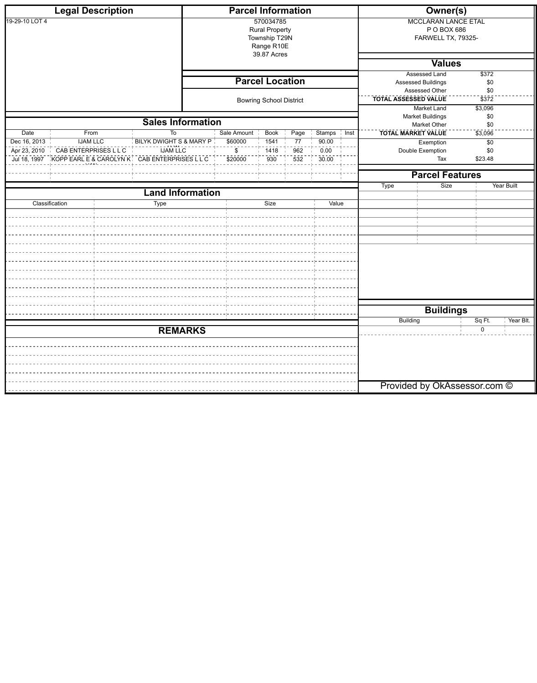|                | <b>Legal Description</b>                                   |                          | <b>Parcel Information</b> |                                                                                  |                  |                                     |                           | <b>Owner(s)</b>                                                 |                              |  |  |
|----------------|------------------------------------------------------------|--------------------------|---------------------------|----------------------------------------------------------------------------------|------------------|-------------------------------------|---------------------------|-----------------------------------------------------------------|------------------------------|--|--|
| 19-29-10 LOT 4 |                                                            |                          |                           | 570034785<br><b>Rural Property</b><br>Township T29N<br>Range R10E<br>39.87 Acres |                  |                                     |                           | <b>MCCLARAN LANCE ETAL</b><br>P O BOX 686<br>FARWELL TX, 79325- |                              |  |  |
|                |                                                            |                          |                           |                                                                                  |                  |                                     |                           | <b>Values</b>                                                   |                              |  |  |
|                |                                                            |                          |                           |                                                                                  |                  |                                     |                           | <b>Assessed Land</b>                                            | \$372                        |  |  |
|                |                                                            |                          |                           | <b>Parcel Location</b>                                                           |                  |                                     |                           | <b>Assessed Buildings</b>                                       | \$0                          |  |  |
|                |                                                            |                          |                           | <b>Bowring School District</b>                                                   |                  |                                     | TOTAL ASSESSED VALUE      | Assessed Other                                                  | \$0<br>$\overline{\$372}$    |  |  |
|                |                                                            |                          |                           |                                                                                  |                  |                                     |                           | <b>Market Land</b><br><b>Market Buildings</b>                   | \$3,096<br>\$0               |  |  |
|                |                                                            | <b>Sales Information</b> |                           |                                                                                  |                  |                                     |                           | Market Other                                                    | \$0                          |  |  |
| Date           | From                                                       | To                       | Sale Amount               | <b>Book</b>                                                                      | Page             | <b>Stamps</b><br>$\frac{1}{1}$ Inst | <b>TOTAL MARKET VALUE</b> |                                                                 | \$3,096                      |  |  |
| Dec 16, 2013   | <b>IJAM LLC</b>                                            | BILYK DWIGHT S & MARY P  | \$60000                   | 1541                                                                             | 77               | 90.00                               |                           | Exemption                                                       | \$0                          |  |  |
| Apr 23, 2010   | <b>CAB ENTERPRISES LLC</b>                                 | <b>IJAM LLC</b>          | $\mathfrak{S}$            | 1418                                                                             | 962              | 0.00                                |                           | Double Exemption                                                | \$0<br>\$23.48               |  |  |
|                | Jul 18, 1997 KOPP EARL E & CAROLYN K   CAB ENTERPRISES LLC |                          | $\frac{1}{2}20000$        | 930                                                                              | $\overline{532}$ | 30.00                               |                           | Tax                                                             |                              |  |  |
|                |                                                            |                          |                           |                                                                                  |                  |                                     |                           | <b>Parcel Features</b>                                          |                              |  |  |
|                |                                                            |                          |                           |                                                                                  |                  |                                     | <b>Type</b>               | Size                                                            | <b>Year Built</b>            |  |  |
|                |                                                            | <b>Land Information</b>  |                           |                                                                                  |                  |                                     |                           |                                                                 |                              |  |  |
|                | Classification                                             | <b>Type</b>              |                           | Size                                                                             |                  | Value                               |                           |                                                                 |                              |  |  |
|                |                                                            |                          |                           |                                                                                  |                  |                                     |                           |                                                                 |                              |  |  |
|                |                                                            |                          |                           |                                                                                  |                  |                                     |                           |                                                                 |                              |  |  |
|                |                                                            |                          |                           |                                                                                  |                  |                                     |                           |                                                                 |                              |  |  |
|                |                                                            |                          |                           |                                                                                  |                  |                                     |                           |                                                                 |                              |  |  |
|                |                                                            |                          |                           |                                                                                  |                  |                                     |                           |                                                                 |                              |  |  |
|                |                                                            |                          |                           |                                                                                  |                  |                                     |                           |                                                                 |                              |  |  |
|                |                                                            |                          |                           |                                                                                  |                  |                                     |                           |                                                                 |                              |  |  |
|                |                                                            |                          |                           |                                                                                  |                  |                                     |                           |                                                                 |                              |  |  |
|                |                                                            |                          |                           |                                                                                  |                  |                                     |                           |                                                                 |                              |  |  |
|                |                                                            |                          |                           |                                                                                  |                  |                                     |                           | <b>Buildings</b>                                                |                              |  |  |
|                |                                                            |                          |                           |                                                                                  |                  |                                     | Building                  |                                                                 | Sq Ft.<br>Year Blt.          |  |  |
|                |                                                            | <b>REMARKS</b>           |                           |                                                                                  |                  |                                     |                           |                                                                 | $\mathbf 0$                  |  |  |
|                |                                                            |                          |                           |                                                                                  |                  |                                     |                           |                                                                 |                              |  |  |
|                |                                                            |                          |                           |                                                                                  |                  |                                     |                           |                                                                 |                              |  |  |
|                |                                                            |                          |                           |                                                                                  |                  |                                     |                           |                                                                 |                              |  |  |
|                |                                                            |                          |                           |                                                                                  |                  |                                     |                           |                                                                 |                              |  |  |
|                |                                                            |                          |                           |                                                                                  |                  |                                     |                           |                                                                 | Provided by OkAssessor.com © |  |  |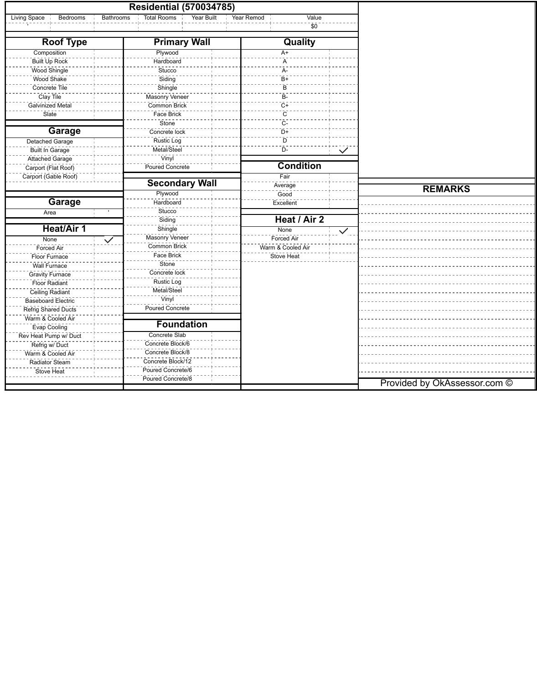|                          | <b>Residential (570034785)</b>         |                                 |                   |              |                              |
|--------------------------|----------------------------------------|---------------------------------|-------------------|--------------|------------------------------|
| Living Space<br>Bedrooms | <b>Bathrooms</b><br><b>Total Rooms</b> | <b>Year Built</b><br>Year Remod | Value             |              |                              |
|                          |                                        |                                 | \$0               |              |                              |
| <b>Roof Type</b>         | <b>Primary Wall</b>                    |                                 | Quality           |              |                              |
| Composition              | Plywood                                |                                 | $A+$              |              |                              |
| Built Up Rock            | Hardboard                              |                                 | A                 |              |                              |
| Wood Shingle             | Stucco                                 |                                 | A-                |              |                              |
| Wood Shake               | Siding                                 |                                 | $B+$              |              |                              |
| Concrete Tile            | Shingle                                |                                 | B                 |              |                              |
| Clay Tile                | Masonry Veneer                         |                                 | B-                |              |                              |
| Galvinized Metal         | Common Brick                           |                                 | $C+$              |              |                              |
| Slate                    | Face Brick                             |                                 | $\mathsf{C}$      |              |                              |
|                          | Stone                                  |                                 | $C-$              |              |                              |
| <b>Garage</b>            | Concrete lock                          |                                 | $D+$              |              |                              |
| <b>Detached Garage</b>   | <b>Rustic Log</b>                      |                                 | D                 |              |                              |
| <b>Built In Garage</b>   | Metal/Steel                            |                                 | $D-$              | $\checkmark$ |                              |
| Attached Garage          | Vinyl                                  |                                 |                   |              |                              |
| Carport (Flat Roof)      | Poured Concrete                        |                                 | <b>Condition</b>  |              |                              |
| Carport (Gable Roof)     |                                        |                                 | Fair              |              |                              |
|                          | <b>Secondary Wall</b>                  |                                 | Average           |              |                              |
|                          | Plywood                                |                                 | Good              |              | <b>REMARKS</b>               |
| <b>Garage</b>            | Hardboard                              |                                 | Excellent         |              |                              |
| Area                     | Stucco                                 |                                 |                   |              |                              |
|                          | Siding                                 |                                 | Heat / Air 2      |              |                              |
| <b>Heat/Air 1</b>        | Shingle                                |                                 | None              | $\checkmark$ |                              |
| None                     | Masonry Veneer                         |                                 | Forced Air        |              |                              |
| <b>Forced Air</b>        | $\checkmark$<br>Common Brick           |                                 | Warm & Cooled Air |              |                              |
| Floor Furnace            | Face Brick                             |                                 | <b>Stove Heat</b> |              |                              |
|                          | Stone                                  |                                 |                   |              |                              |
| <b>Wall Furnace</b>      | Concrete lock                          |                                 |                   |              |                              |
| <b>Gravity Furnace</b>   | <b>Rustic Log</b>                      |                                 |                   |              |                              |
| <b>Floor Radiant</b>     | Metal/Steel                            |                                 |                   |              |                              |
| Ceiling Radiant          | Vinyl                                  |                                 |                   |              |                              |
| Baseboard Electric       | <b>Poured Concrete</b>                 |                                 |                   |              |                              |
| Refrig Shared Ducts      |                                        |                                 |                   |              |                              |
| Warm & Cooled Air        | <b>Foundation</b>                      |                                 |                   |              |                              |
| <b>Evap Cooling</b>      |                                        |                                 |                   |              |                              |
| Rev Heat Pump w/ Duct    | <b>Concrete Slab</b>                   |                                 |                   |              |                              |
| Refrig w/ Duct           | Concrete Block/6                       |                                 |                   |              |                              |
| Warm & Cooled Air        | Concrete Block/8                       |                                 |                   |              |                              |
| Radiator Steam           | Concrete Block/12                      |                                 |                   |              |                              |
| Stove Heat               | Poured Concrete/6                      |                                 |                   |              |                              |
|                          | Poured Concrete/8                      |                                 |                   |              | Provided by OkAssessor.com © |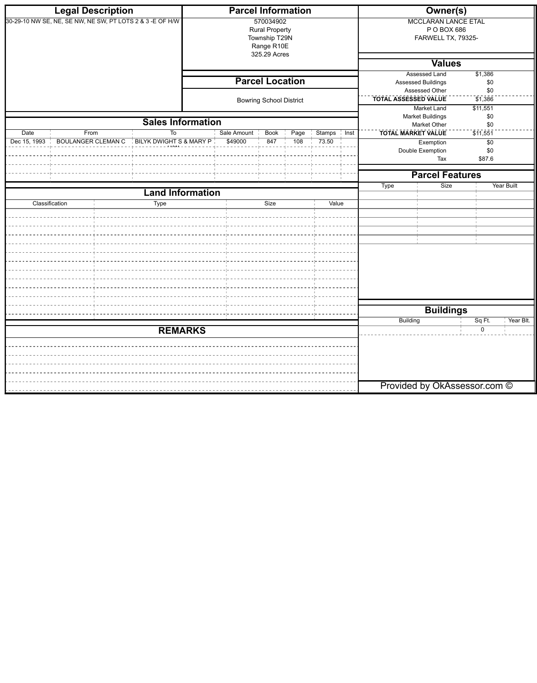|                                   | <b>Legal Description</b>                                                                                                                                      |                                 |  | <b>Parcel Information</b> |                                                                   |                    |       |                                                                   | <b>Owner(s)</b>                                                                                                                               |                                                                 |                 |            |
|-----------------------------------|---------------------------------------------------------------------------------------------------------------------------------------------------------------|---------------------------------|--|---------------------------|-------------------------------------------------------------------|--------------------|-------|-------------------------------------------------------------------|-----------------------------------------------------------------------------------------------------------------------------------------------|-----------------------------------------------------------------|-----------------|------------|
|                                   | 30-29-10 NW SE, NE, SE NW, NE SW, PT LOTS 2 & 3 - E OF H/W                                                                                                    |                                 |  |                           | 570034902<br><b>Rural Property</b><br>Township T29N<br>Range R10E |                    |       |                                                                   |                                                                                                                                               | <b>MCCLARAN LANCE ETAL</b><br>P O BOX 686<br>FARWELL TX, 79325- |                 |            |
|                                   |                                                                                                                                                               |                                 |  |                           | 325.29 Acres                                                      |                    |       |                                                                   |                                                                                                                                               | <b>Values</b>                                                   |                 |            |
|                                   |                                                                                                                                                               |                                 |  |                           | <b>Parcel Location</b><br><b>Bowring School District</b>          |                    |       |                                                                   | <b>Assessed Land</b><br>$\sqrt{$1,386}$<br><b>Assessed Buildings</b><br>\$0<br>Assessed Other<br>\$0<br><b>TOTAL ASSESSED VALUE</b><br>51,386 |                                                                 |                 |            |
|                                   |                                                                                                                                                               |                                 |  |                           |                                                                   |                    |       |                                                                   |                                                                                                                                               | Market Land<br><b>Market Buildings</b>                          | \$11,551<br>\$0 |            |
|                                   |                                                                                                                                                               | <b>Sales Information</b>        |  |                           |                                                                   |                    |       |                                                                   |                                                                                                                                               | <b>Market Other</b>                                             | \$0             |            |
| $\overline{Date}$<br>Dec 15, 1993 | From<br>Sale Amount<br><b>Book</b><br>Page<br>To<br><b>BOULANGER CLEMAN C</b><br>$\frac{1}{2}$ BILYK DWIGHT S & MARY P $\frac{1}{2}$<br>\$49000<br>847<br>108 |                                 |  |                           | <b>Stamps</b><br>73.50                                            | $\frac{1}{2}$ Inst |       | <b>TOTAL MARKET VALUE</b><br>Exemption<br>Double Exemption<br>Tax | 511,551<br>$\sqrt{60}$<br>\$0<br>\$87.6                                                                                                       |                                                                 |                 |            |
|                                   |                                                                                                                                                               |                                 |  |                           |                                                                   |                    |       |                                                                   | <b>Parcel Features</b>                                                                                                                        |                                                                 |                 |            |
|                                   |                                                                                                                                                               |                                 |  |                           |                                                                   |                    |       |                                                                   | <b>Type</b>                                                                                                                                   | Size                                                            |                 | Year Built |
| Classification                    |                                                                                                                                                               | <b>Land Information</b><br>Type |  |                           | Size                                                              |                    | Value |                                                                   |                                                                                                                                               |                                                                 |                 |            |
|                                   |                                                                                                                                                               |                                 |  |                           |                                                                   |                    |       |                                                                   |                                                                                                                                               |                                                                 |                 |            |
|                                   |                                                                                                                                                               |                                 |  |                           |                                                                   |                    |       |                                                                   |                                                                                                                                               | <b>Buildings</b>                                                |                 |            |
|                                   |                                                                                                                                                               | <b>REMARKS</b>                  |  |                           |                                                                   |                    |       |                                                                   | <b>Building</b>                                                                                                                               |                                                                 | Sq Ft.<br>0     | Year Blt.  |
|                                   |                                                                                                                                                               |                                 |  |                           |                                                                   |                    |       |                                                                   |                                                                                                                                               | Provided by OkAssessor.com ©                                    |                 |            |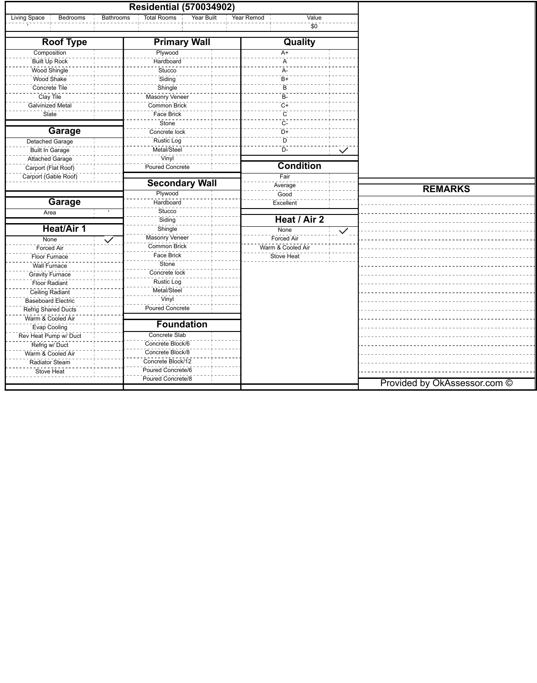|                            |                  | <b>Residential (570034902)</b>   |                            |              |                              |
|----------------------------|------------------|----------------------------------|----------------------------|--------------|------------------------------|
| Living Space<br>Bedrooms   | <b>Bathrooms</b> | <b>Total Rooms</b><br>Year Built | Value<br>Year Remod<br>\$0 |              |                              |
|                            |                  |                                  |                            |              |                              |
| <b>Roof Type</b>           |                  | <b>Primary Wall</b>              | <b>Quality</b>             |              |                              |
| Composition                |                  | Plywood                          | $A+$                       |              |                              |
| Built Up Rock              |                  | Hardboard                        | A                          |              |                              |
| Wood Shingle               |                  | Stucco                           | A-                         |              |                              |
| Wood Shake                 |                  | Siding                           | $\bar{B}+$                 |              |                              |
| Concrete Tile              |                  | Shingle                          | B                          |              |                              |
| Clay Tile                  |                  | Masonry Veneer                   | $\overline{B}$             |              |                              |
| Galvinized Metal           |                  | Common Brick                     | $C+$                       |              |                              |
| Slate                      |                  | <b>Face Brick</b>                | $\overline{C}$             |              |                              |
|                            |                  | Stone                            | - C-                       |              |                              |
| <b>Garage</b>              |                  | Concrete lock                    | D+                         |              |                              |
| Detached Garage            |                  | <b>Rustic Log</b>                | D                          |              |                              |
| <b>Built In Garage</b>     |                  | Metal/Steel                      | $D-$                       | $\checkmark$ |                              |
| Attached Garage            |                  | Vinyl                            |                            |              |                              |
| Carport (Flat Roof)        |                  | Poured Concrete                  | <b>Condition</b>           |              |                              |
| Carport (Gable Roof)       |                  |                                  | Fair                       |              |                              |
|                            |                  | <b>Secondary Wall</b>            | Average                    |              |                              |
|                            |                  | Plywood                          | Good                       |              | <b>REMARKS</b>               |
| <b>Garage</b>              |                  | Hardboard                        | Excellent                  |              |                              |
| Area                       |                  | Stucco                           |                            |              |                              |
|                            |                  | Siding                           | Heat / Air 2               |              |                              |
| <b>Heat/Air 1</b>          |                  | Shingle                          | None                       | $\checkmark$ |                              |
| None                       | $\checkmark$     | Masonry Veneer                   | Forced Air                 |              |                              |
| Forced Air                 |                  | Common Brick                     | Warm & Cooled Air          |              |                              |
| Floor Furnace              |                  | Face Brick                       | <b>Stove Heat</b>          |              |                              |
| <b>Wall Furnace</b>        |                  | Stone                            |                            |              |                              |
| <b>Gravity Furnace</b>     |                  | Concrete lock                    |                            |              |                              |
| <b>Floor Radiant</b>       |                  | <b>Rustic Log</b>                |                            |              |                              |
| <b>Ceiling Radiant</b>     |                  | Metal/Steel                      |                            |              |                              |
| Baseboard Electric         |                  | Vinyl                            |                            |              |                              |
| <b>Refrig Shared Ducts</b> |                  | <b>Poured Concrete</b>           |                            |              |                              |
| Warm & Cooled Air          |                  |                                  |                            |              |                              |
| <b>Evap Cooling</b>        |                  | <b>Foundation</b>                |                            |              |                              |
| Rev Heat Pump w/ Duct      |                  | Concrete Slab                    |                            |              |                              |
| Refrig w/ Duct             |                  | Concrete Block/6                 |                            |              |                              |
| Warm & Cooled Air          |                  | Concrete Block/8                 |                            |              |                              |
| <b>Radiator Steam</b>      |                  | Concrete Block/12                |                            |              |                              |
| Stove Heat                 |                  | Poured Concrete/6                |                            |              |                              |
|                            |                  | Poured Concrete/8                |                            |              |                              |
|                            |                  |                                  |                            |              | Provided by OkAssessor.com © |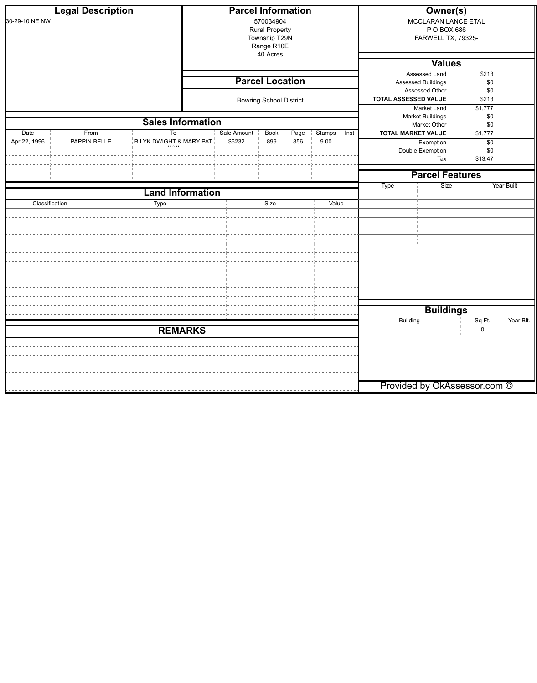|                | <b>Legal Description</b> |                          |                | <b>Parcel Information</b> |                                                                   |      |               |                    |                                                                               | <b>Owner(s)</b>                                                 |                      |           |
|----------------|--------------------------|--------------------------|----------------|---------------------------|-------------------------------------------------------------------|------|---------------|--------------------|-------------------------------------------------------------------------------|-----------------------------------------------------------------|----------------------|-----------|
| 30-29-10 NE NW |                          |                          |                |                           | 570034904<br><b>Rural Property</b><br>Township T29N<br>Range R10E |      |               |                    |                                                                               | <b>MCCLARAN LANCE ETAL</b><br>P O BOX 686<br>FARWELL TX, 79325- |                      |           |
|                |                          |                          |                |                           | 40 Acres                                                          |      |               |                    |                                                                               | <b>Values</b>                                                   |                      |           |
|                |                          |                          |                |                           |                                                                   |      |               |                    |                                                                               | <b>Assessed Land</b>                                            | \$213                |           |
|                |                          |                          |                |                           | <b>Parcel Location</b>                                            |      |               |                    |                                                                               | Assessed Buildings                                              | \$0                  |           |
|                |                          |                          |                |                           | <b>Bowring School District</b>                                    |      |               |                    | Assessed Other<br>\$0<br>TOTAL ASSESSED VALUE<br>$\overline{$}2\overline{13}$ |                                                                 |                      |           |
|                |                          |                          |                |                           |                                                                   |      |               |                    |                                                                               | Market Land<br><b>Market Buildings</b>                          | \$1,777<br>\$0       |           |
|                |                          | <b>Sales Information</b> |                |                           |                                                                   |      |               |                    |                                                                               | Market Other                                                    | \$0                  |           |
| Date           | From                     | To                       |                | Sale Amount               | <b>Book</b>                                                       | Page | <b>Stamps</b> | $\frac{1}{1}$ Inst | <b>TOTAL MARKET VALUE</b>                                                     |                                                                 | $\overline{\$1,777}$ |           |
| Apr 22, 1996   | <b>PAPPIN BELLE</b>      | BILYK DWIGHT & MARY PAT  |                | \$6232                    | 899                                                               | 856  | 9.00          |                    |                                                                               | Exemption<br>Double Exemption                                   | $\sqrt{60}$<br>\$0   |           |
|                |                          |                          |                |                           |                                                                   |      |               |                    |                                                                               | Tax                                                             | \$13.47              |           |
|                |                          |                          |                |                           |                                                                   |      |               |                    |                                                                               | <b>Parcel Features</b>                                          |                      |           |
|                |                          |                          |                |                           |                                                                   |      |               | Type               | Size                                                                          |                                                                 | <b>Year Built</b>    |           |
|                |                          | <b>Land Information</b>  |                |                           |                                                                   |      |               |                    |                                                                               |                                                                 |                      |           |
| Classification |                          | <b>Type</b>              |                | Size<br>Value             |                                                                   |      |               |                    |                                                                               |                                                                 |                      |           |
|                |                          |                          |                |                           |                                                                   |      |               |                    |                                                                               |                                                                 |                      |           |
|                |                          |                          |                |                           |                                                                   |      |               |                    |                                                                               |                                                                 |                      |           |
|                |                          |                          |                |                           |                                                                   |      |               |                    |                                                                               |                                                                 |                      |           |
|                |                          |                          |                |                           |                                                                   |      |               |                    |                                                                               |                                                                 |                      |           |
|                |                          |                          |                |                           |                                                                   |      |               |                    |                                                                               |                                                                 |                      |           |
|                |                          |                          |                |                           |                                                                   |      |               |                    |                                                                               |                                                                 |                      |           |
|                |                          |                          |                |                           |                                                                   |      |               |                    |                                                                               |                                                                 |                      |           |
|                |                          |                          |                |                           |                                                                   |      |               |                    |                                                                               |                                                                 |                      |           |
|                |                          |                          |                |                           |                                                                   |      |               |                    |                                                                               |                                                                 |                      |           |
|                |                          |                          |                |                           |                                                                   |      |               |                    |                                                                               | <b>Buildings</b>                                                |                      |           |
|                |                          |                          |                |                           |                                                                   |      |               |                    | <b>Building</b>                                                               |                                                                 | Sq Ft.               | Year Blt. |
|                |                          |                          | <b>REMARKS</b> |                           |                                                                   |      |               |                    |                                                                               |                                                                 | $\mathbf 0$          |           |
|                |                          |                          |                |                           |                                                                   |      |               |                    |                                                                               |                                                                 |                      |           |
|                |                          |                          |                |                           |                                                                   |      |               |                    |                                                                               |                                                                 |                      |           |
|                |                          |                          |                |                           |                                                                   |      |               |                    |                                                                               |                                                                 |                      |           |
|                |                          |                          |                |                           |                                                                   |      |               |                    |                                                                               |                                                                 |                      |           |
|                |                          |                          |                |                           |                                                                   |      |               |                    |                                                                               | Provided by OkAssessor.com ©                                    |                      |           |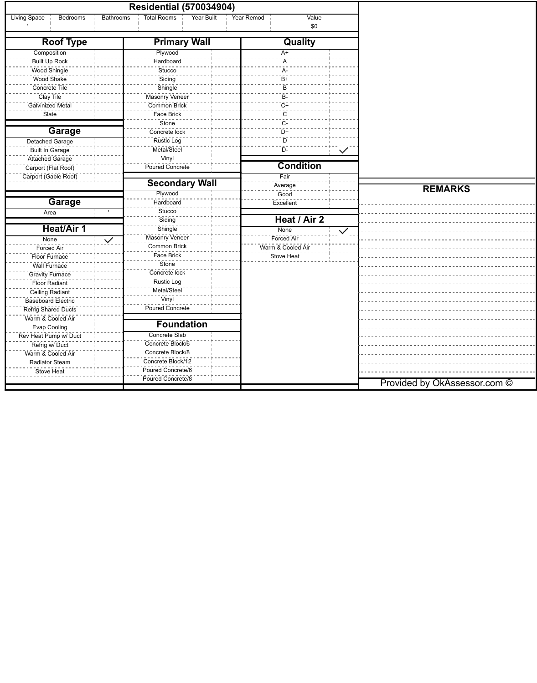|                          | <b>Residential (570034904)</b>                       |                     |              |                              |
|--------------------------|------------------------------------------------------|---------------------|--------------|------------------------------|
| Living Space<br>Bedrooms | <b>Bathrooms</b><br><b>Total Rooms</b><br>Year Built | Value<br>Year Remod |              |                              |
|                          |                                                      | \$0                 |              |                              |
| <b>Roof Type</b>         | <b>Primary Wall</b>                                  | Quality             |              |                              |
| Composition              | Plywood                                              | $A+$                |              |                              |
| Built Up Rock            | Hardboard                                            | A                   |              |                              |
| Wood Shingle             | Stucco                                               | A-                  |              |                              |
| Wood Shake               | Siding                                               | $B+$                |              |                              |
| Concrete Tile            | Shingle                                              | B                   |              |                              |
| Clay Tile                | Masonry Veneer                                       | B-                  |              |                              |
| Galvinized Metal         | Common Brick                                         | $C+$                |              |                              |
| Slate                    | Face Brick                                           | $\mathsf{C}$        |              |                              |
|                          | Stone                                                | $C-$                |              |                              |
| <b>Garage</b>            | Concrete lock                                        | $D+$                |              |                              |
| <b>Detached Garage</b>   | <b>Rustic Log</b>                                    | D                   |              |                              |
| <b>Built In Garage</b>   | Metal/Steel                                          | $D-$                | $\checkmark$ |                              |
| Attached Garage          | Vinyl                                                |                     |              |                              |
| Carport (Flat Roof)      | Poured Concrete                                      | <b>Condition</b>    |              |                              |
| Carport (Gable Roof)     |                                                      | Fair                |              |                              |
|                          | <b>Secondary Wall</b>                                | Average             |              |                              |
|                          | Plywood                                              | Good                |              | <b>REMARKS</b>               |
| <b>Garage</b>            | Hardboard                                            | Excellent           |              |                              |
| Area                     | Stucco                                               |                     |              |                              |
|                          | Siding                                               | Heat / Air 2        |              |                              |
| <b>Heat/Air 1</b>        | Shingle                                              | None                |              |                              |
|                          | Masonry Veneer                                       | Forced Air          | $\checkmark$ |                              |
| None                     | $\checkmark$<br>Common Brick                         | Warm & Cooled Air   |              |                              |
| <b>Forced Air</b>        | Face Brick                                           | <b>Stove Heat</b>   |              |                              |
| Floor Furnace            | Stone                                                |                     |              |                              |
| <b>Wall Furnace</b>      | Concrete lock                                        |                     |              |                              |
| <b>Gravity Furnace</b>   | <b>Rustic Log</b>                                    |                     |              |                              |
| <b>Floor Radiant</b>     | Metal/Steel                                          |                     |              |                              |
| Ceiling Radiant          | Vinyl                                                |                     |              |                              |
| Baseboard Electric       | <b>Poured Concrete</b>                               |                     |              |                              |
| Refrig Shared Ducts      |                                                      |                     |              |                              |
| Warm & Cooled Air        | <b>Foundation</b>                                    |                     |              |                              |
| <b>Evap Cooling</b>      |                                                      |                     |              |                              |
| Rev Heat Pump w/ Duct    | <b>Concrete Slab</b>                                 |                     |              |                              |
| Refrig w/ Duct           | Concrete Block/6                                     |                     |              |                              |
| Warm & Cooled Air        | Concrete Block/8                                     |                     |              |                              |
| Radiator Steam           | Concrete Block/12                                    |                     |              |                              |
| Stove Heat               | Poured Concrete/6                                    |                     |              |                              |
|                          | Poured Concrete/8                                    |                     |              | Provided by OkAssessor.com © |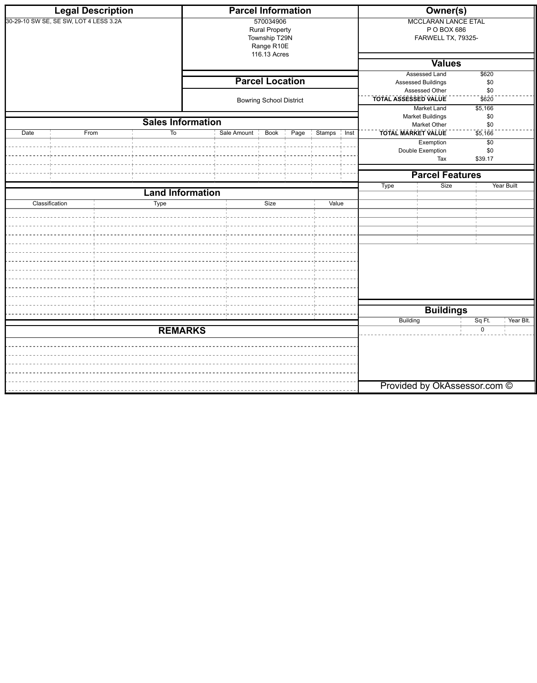|      | <b>Legal Description</b>               |                          |                | <b>Parcel Information</b> |                                                                   |      |                         |                                                  | <b>Owner(s)</b>                                                 |                       |                   |
|------|----------------------------------------|--------------------------|----------------|---------------------------|-------------------------------------------------------------------|------|-------------------------|--------------------------------------------------|-----------------------------------------------------------------|-----------------------|-------------------|
|      | 30-29-10 SW SE, SE SW, LOT 4 LESS 3.2A |                          |                |                           | 570034906<br><b>Rural Property</b><br>Township T29N<br>Range R10E |      |                         |                                                  | <b>MCCLARAN LANCE ETAL</b><br>P O BOX 686<br>FARWELL TX, 79325- |                       |                   |
|      |                                        |                          |                |                           | 116.13 Acres                                                      |      |                         |                                                  | <b>Values</b>                                                   |                       |                   |
|      |                                        |                          |                |                           |                                                                   |      |                         |                                                  | <b>Assessed Land</b>                                            | \$620                 |                   |
|      |                                        |                          |                |                           | <b>Parcel Location</b>                                            |      |                         |                                                  | Assessed Buildings<br>Assessed Other                            | \$0<br>\$0            |                   |
|      |                                        |                          |                |                           | <b>Bowring School District</b>                                    |      |                         | <b>TOTAL ASSESSED VALUE</b><br>$\overline{$}620$ |                                                                 |                       |                   |
|      |                                        |                          |                |                           |                                                                   |      |                         |                                                  | Market Land                                                     | \$5,166               |                   |
|      |                                        | <b>Sales Information</b> |                |                           |                                                                   |      |                         |                                                  | <b>Market Buildings</b><br>Market Other                         | \$0<br>\$0            |                   |
| Date | From                                   | To                       |                | Sale Amount               | Book                                                              | Page | <b>Stamps</b><br>⊹ Inst |                                                  | <b>TOTAL MARKET VALUE</b>                                       | \$5,166               |                   |
|      |                                        |                          |                |                           |                                                                   |      |                         |                                                  | Exemption                                                       | $\overline{50}$       |                   |
|      |                                        |                          |                |                           |                                                                   |      |                         |                                                  | Double Exemption<br>Tax                                         | \$0<br>\$39.17        |                   |
|      |                                        |                          |                |                           |                                                                   |      |                         |                                                  |                                                                 |                       |                   |
|      |                                        |                          |                |                           |                                                                   |      |                         |                                                  | <b>Parcel Features</b>                                          |                       |                   |
|      |                                        | <b>Land Information</b>  |                |                           |                                                                   |      |                         | <b>Type</b>                                      | Size                                                            |                       | <b>Year Built</b> |
|      | Classification                         | Type                     |                |                           | Size                                                              |      | Value                   |                                                  |                                                                 |                       |                   |
|      |                                        |                          |                |                           |                                                                   |      |                         |                                                  |                                                                 |                       |                   |
|      |                                        |                          |                |                           |                                                                   |      |                         |                                                  |                                                                 |                       |                   |
|      |                                        |                          |                |                           |                                                                   |      |                         |                                                  |                                                                 |                       |                   |
|      |                                        |                          |                |                           |                                                                   |      |                         |                                                  |                                                                 |                       |                   |
|      |                                        |                          |                |                           |                                                                   |      |                         |                                                  |                                                                 |                       |                   |
|      |                                        |                          |                |                           |                                                                   |      |                         |                                                  |                                                                 |                       |                   |
|      |                                        |                          |                |                           |                                                                   |      |                         |                                                  |                                                                 |                       |                   |
|      |                                        |                          |                |                           |                                                                   |      |                         |                                                  |                                                                 |                       |                   |
|      |                                        |                          |                |                           |                                                                   |      |                         |                                                  |                                                                 |                       |                   |
|      |                                        |                          |                |                           |                                                                   |      | <b>Buildings</b>        |                                                  |                                                                 |                       |                   |
|      |                                        |                          |                |                           |                                                                   |      |                         | <b>Building</b>                                  |                                                                 | Sq Ft.<br>$\mathbf 0$ | Year Blt.         |
|      |                                        |                          | <b>REMARKS</b> |                           |                                                                   |      |                         |                                                  |                                                                 |                       |                   |
|      |                                        |                          |                |                           |                                                                   |      |                         |                                                  |                                                                 |                       |                   |
|      |                                        |                          |                |                           |                                                                   |      |                         |                                                  |                                                                 |                       |                   |
|      |                                        |                          |                |                           |                                                                   |      |                         |                                                  |                                                                 |                       |                   |
|      |                                        |                          |                |                           |                                                                   |      |                         |                                                  | Provided by OkAssessor.com ©                                    |                       |                   |
|      |                                        |                          |                |                           |                                                                   |      |                         |                                                  |                                                                 |                       |                   |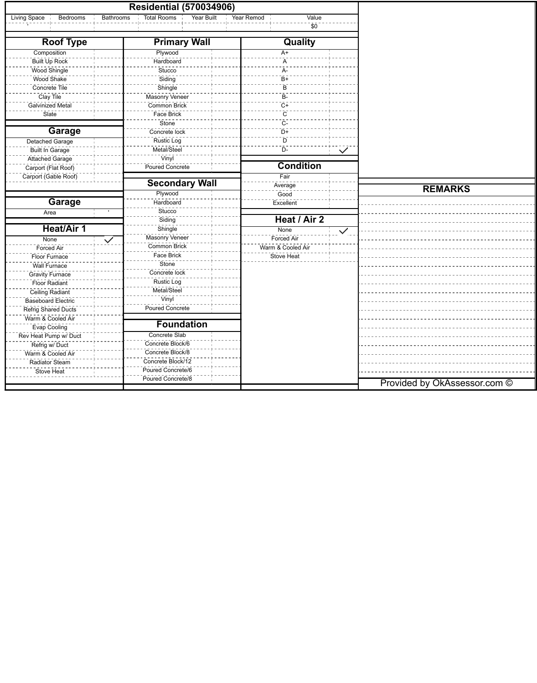|                          |                  | <b>Residential (570034906)</b>          |                     |              |                              |
|--------------------------|------------------|-----------------------------------------|---------------------|--------------|------------------------------|
| Living Space<br>Bedrooms | <b>Bathrooms</b> | <b>Total Rooms</b><br><b>Year Built</b> | Value<br>Year Remod |              |                              |
|                          |                  |                                         | \$0                 |              |                              |
| <b>Roof Type</b>         |                  | <b>Primary Wall</b>                     | Quality             |              |                              |
| Composition              |                  | Plywood                                 | $A+$                |              |                              |
| Built Up Rock            |                  | Hardboard                               | A                   |              |                              |
| Wood Shingle             |                  | Stucco                                  | A-                  |              |                              |
| Wood Shake               |                  | Siding                                  | $B+$                |              |                              |
| Concrete Tile            |                  | Shingle                                 | B                   |              |                              |
| Clay Tile                |                  | Masonry Veneer                          | B-                  |              |                              |
| Galvinized Metal         |                  | Common Brick                            | $C+$                |              |                              |
| Slate                    |                  | Face Brick                              | $\mathsf{C}$        |              |                              |
|                          |                  | Stone                                   | $C-$                |              |                              |
| <b>Garage</b>            |                  | Concrete lock                           | $D+$                |              |                              |
| <b>Detached Garage</b>   |                  | <b>Rustic Log</b>                       | D                   |              |                              |
| <b>Built In Garage</b>   |                  | Metal/Steel                             | $D-$                | $\checkmark$ |                              |
| Attached Garage          |                  | Vinyl                                   |                     |              |                              |
| Carport (Flat Roof)      |                  | Poured Concrete                         | <b>Condition</b>    |              |                              |
| Carport (Gable Roof)     |                  |                                         | Fair                |              |                              |
|                          |                  | <b>Secondary Wall</b>                   | Average             |              |                              |
|                          |                  | Plywood                                 | Good                |              | <b>REMARKS</b>               |
| <b>Garage</b>            |                  | Hardboard                               | Excellent           |              |                              |
| Area                     |                  | Stucco                                  |                     |              |                              |
|                          |                  | Siding                                  | Heat / Air 2        |              |                              |
| <b>Heat/Air 1</b>        |                  | Shingle                                 | None                | $\checkmark$ |                              |
| None                     | $\checkmark$     | Masonry Veneer                          | Forced Air          |              |                              |
| <b>Forced Air</b>        |                  | Common Brick                            | Warm & Cooled Air   |              |                              |
| Floor Furnace            |                  | Face Brick                              | <b>Stove Heat</b>   |              |                              |
| <b>Wall Furnace</b>      |                  | Stone                                   |                     |              |                              |
| <b>Gravity Furnace</b>   |                  | Concrete lock                           |                     |              |                              |
| <b>Floor Radiant</b>     |                  | <b>Rustic Log</b>                       |                     |              |                              |
| Ceiling Radiant          |                  | Metal/Steel                             |                     |              |                              |
| Baseboard Electric       |                  | Vinyl                                   |                     |              |                              |
| Refrig Shared Ducts      |                  | <b>Poured Concrete</b>                  |                     |              |                              |
| Warm & Cooled Air        |                  |                                         |                     |              |                              |
|                          |                  | <b>Foundation</b>                       |                     |              |                              |
| <b>Evap Cooling</b>      |                  | <b>Concrete Slab</b>                    |                     |              |                              |
| Rev Heat Pump w/ Duct    |                  | Concrete Block/6                        |                     |              |                              |
| Refrig w/ Duct           |                  | Concrete Block/8                        |                     |              |                              |
| Warm & Cooled Air        |                  | Concrete Block/12                       |                     |              |                              |
| Radiator Steam           |                  | Poured Concrete/6                       |                     |              |                              |
| Stove Heat               |                  | Poured Concrete/8                       |                     |              |                              |
|                          |                  |                                         |                     |              | Provided by OkAssessor.com © |
|                          |                  |                                         |                     |              |                              |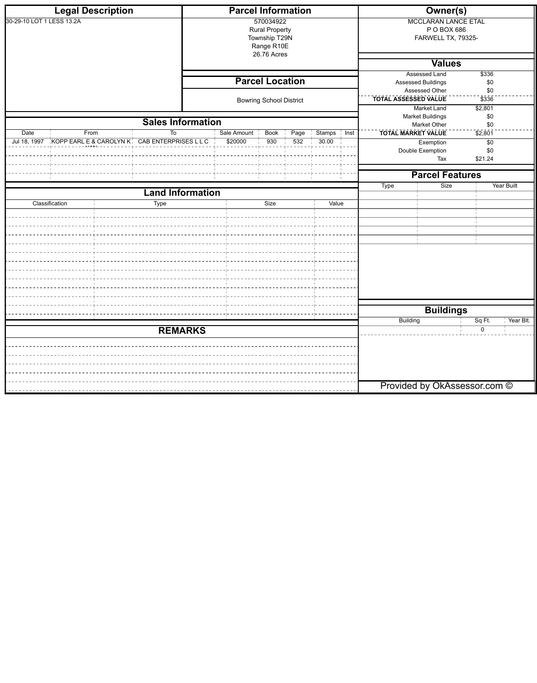|                           | <b>Legal Description</b>                      |                          | <b>Parcel Information</b> |                                                                   |      |               |                    |                                                                                      | <b>Owner(s)</b>                                                 |                        |                   |
|---------------------------|-----------------------------------------------|--------------------------|---------------------------|-------------------------------------------------------------------|------|---------------|--------------------|--------------------------------------------------------------------------------------|-----------------------------------------------------------------|------------------------|-------------------|
| 30-29-10 LOT 1 LESS 13.2A |                                               |                          |                           | 570034922<br><b>Rural Property</b><br>Township T29N<br>Range R10E |      |               |                    |                                                                                      | <b>MCCLARAN LANCE ETAL</b><br>P O BOX 686<br>FARWELL TX, 79325- |                        |                   |
|                           |                                               |                          |                           | 26.76 Acres                                                       |      |               |                    |                                                                                      | <b>Values</b>                                                   |                        |                   |
|                           |                                               |                          |                           |                                                                   |      |               |                    |                                                                                      | <b>Assessed Land</b>                                            | \$336                  |                   |
|                           |                                               |                          |                           | <b>Parcel Location</b>                                            |      |               |                    |                                                                                      | Assessed Buildings                                              | \$0                    |                   |
|                           |                                               |                          |                           | <b>Bowring School District</b>                                    |      |               |                    | Assessed Other<br>\$0<br><b>TOTAL ASSESSED VALUE</b><br>$\overline{$}3\overline{36}$ |                                                                 |                        |                   |
|                           |                                               |                          |                           |                                                                   |      |               |                    |                                                                                      | Market Land<br><b>Market Buildings</b>                          | $\sqrt{$2,801}$<br>\$0 |                   |
|                           |                                               | <b>Sales Information</b> |                           |                                                                   |      |               |                    |                                                                                      | Market Other                                                    | \$0                    |                   |
| Date                      | From                                          | To                       | Sale Amount               | <b>Book</b>                                                       | Page | <b>Stamps</b> | $\frac{1}{1}$ Inst | <b>TOTAL MARKET VALUE</b>                                                            |                                                                 | $\sqrt{2,801}$         |                   |
| Jul 18, 1997              | KOPP EARL E & CAROLYN K CAB ENTERPRISES L L C |                          | \$20000                   | 930                                                               | 532  | 30.00         |                    |                                                                                      | Exemption<br>Double Exemption                                   | $\sqrt{6}$<br>\$0      |                   |
|                           |                                               |                          |                           |                                                                   |      |               |                    |                                                                                      | Tax                                                             | \$21.24                |                   |
|                           |                                               |                          |                           |                                                                   |      |               |                    |                                                                                      | <b>Parcel Features</b>                                          |                        |                   |
|                           |                                               |                          |                           |                                                                   |      |               |                    | Type                                                                                 | Size                                                            |                        | <b>Year Built</b> |
|                           |                                               | <b>Land Information</b>  |                           |                                                                   |      |               |                    |                                                                                      |                                                                 |                        |                   |
|                           | Classification                                | <b>Type</b>              |                           | Size                                                              |      | Value         |                    |                                                                                      |                                                                 |                        |                   |
|                           |                                               |                          |                           |                                                                   |      |               |                    |                                                                                      |                                                                 |                        |                   |
|                           |                                               |                          |                           |                                                                   |      |               |                    |                                                                                      |                                                                 |                        |                   |
|                           |                                               |                          |                           |                                                                   |      |               |                    |                                                                                      |                                                                 |                        |                   |
|                           |                                               |                          |                           |                                                                   |      |               |                    |                                                                                      |                                                                 |                        |                   |
|                           |                                               |                          |                           |                                                                   |      |               |                    |                                                                                      |                                                                 |                        |                   |
|                           |                                               |                          |                           |                                                                   |      |               |                    |                                                                                      |                                                                 |                        |                   |
|                           |                                               |                          |                           |                                                                   |      |               |                    |                                                                                      |                                                                 |                        |                   |
|                           |                                               |                          |                           |                                                                   |      |               |                    |                                                                                      |                                                                 |                        |                   |
|                           |                                               |                          |                           |                                                                   |      |               |                    |                                                                                      |                                                                 |                        |                   |
|                           |                                               |                          |                           |                                                                   |      |               |                    | <b>Buildings</b>                                                                     |                                                                 | Year Blt.              |                   |
|                           |                                               | <b>REMARKS</b>           |                           |                                                                   |      |               |                    | <b>Building</b>                                                                      |                                                                 | Sq Ft.<br>0            |                   |
|                           |                                               |                          |                           |                                                                   |      |               |                    |                                                                                      |                                                                 |                        |                   |
|                           |                                               |                          |                           |                                                                   |      |               |                    |                                                                                      |                                                                 |                        |                   |
|                           |                                               |                          |                           |                                                                   |      |               |                    |                                                                                      |                                                                 |                        |                   |
|                           |                                               |                          |                           |                                                                   |      |               |                    |                                                                                      |                                                                 |                        |                   |
|                           |                                               |                          |                           |                                                                   |      |               |                    |                                                                                      | Provided by OkAssessor.com ©                                    |                        |                   |
|                           |                                               |                          |                           |                                                                   |      |               |                    |                                                                                      |                                                                 |                        |                   |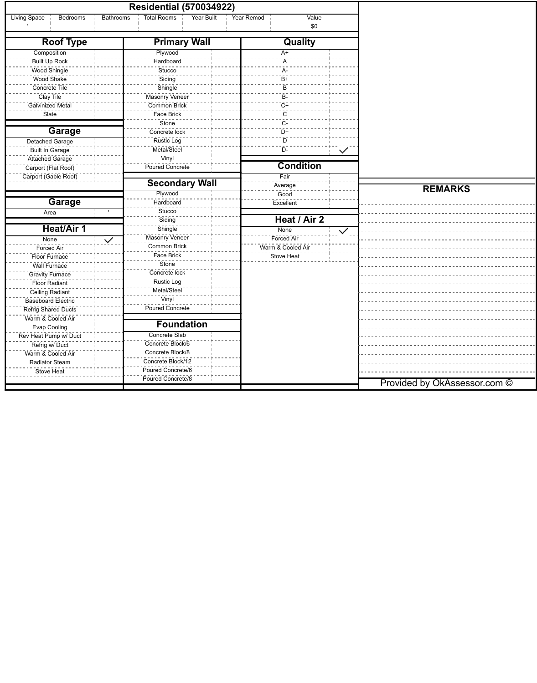|                                     |                  | <b>Residential (570034922)</b>   |            |                   |              |                              |
|-------------------------------------|------------------|----------------------------------|------------|-------------------|--------------|------------------------------|
| Living Space<br>Bedrooms            | <b>Bathrooms</b> | <b>Total Rooms</b><br>Year Built | Year Remod | Value             |              |                              |
|                                     |                  |                                  |            | \$0               |              |                              |
| <b>Roof Type</b>                    |                  | <b>Primary Wall</b>              |            | Quality           |              |                              |
| Composition                         |                  | Plywood                          |            | $A+$              |              |                              |
| Built Up Rock                       |                  | Hardboard                        |            | A                 |              |                              |
| Wood Shingle                        |                  | Stucco                           |            | A-                |              |                              |
| Wood Shake                          |                  | Siding                           |            | $B+$              |              |                              |
| Concrete Tile                       |                  | Shingle                          |            | B                 |              |                              |
| Clay Tile                           |                  | Masonry Veneer                   |            | B-                |              |                              |
| Galvinized Metal                    |                  | Common Brick                     |            | $C+$              |              |                              |
| Slate                               |                  | Face Brick                       |            | $\mathsf{C}$      |              |                              |
|                                     |                  | Stone                            |            | $C-$              |              |                              |
| <b>Garage</b>                       |                  | Concrete lock                    |            | $D+$              |              |                              |
| <b>Detached Garage</b>              |                  | <b>Rustic Log</b>                |            | D                 |              |                              |
| <b>Built In Garage</b>              |                  | Metal/Steel                      |            | $D-$              | $\checkmark$ |                              |
| Attached Garage                     |                  | Vinyl                            |            |                   |              |                              |
| Carport (Flat Roof)                 |                  | Poured Concrete                  |            | <b>Condition</b>  |              |                              |
| Carport (Gable Roof)                |                  |                                  |            | Fair              |              |                              |
|                                     |                  | <b>Secondary Wall</b>            |            | Average           |              |                              |
|                                     |                  | Plywood                          |            | Good              |              | <b>REMARKS</b>               |
| <b>Garage</b>                       |                  | Hardboard                        |            | Excellent         |              |                              |
| Area                                |                  | Stucco                           |            |                   |              |                              |
|                                     |                  | Siding                           |            | Heat / Air 2      |              |                              |
| <b>Heat/Air 1</b>                   |                  | Shingle                          |            | None              | $\checkmark$ |                              |
| None                                | $\checkmark$     | Masonry Veneer                   |            | Forced Air        |              |                              |
| <b>Forced Air</b>                   |                  | Common Brick                     |            | Warm & Cooled Air |              |                              |
| Floor Furnace                       |                  | Face Brick                       |            | <b>Stove Heat</b> |              |                              |
| <b>Wall Furnace</b>                 |                  | Stone                            |            |                   |              |                              |
| <b>Gravity Furnace</b>              |                  | Concrete lock                    |            |                   |              |                              |
| <b>Floor Radiant</b>                |                  | <b>Rustic Log</b>                |            |                   |              |                              |
| Ceiling Radiant                     |                  | Metal/Steel                      |            |                   |              |                              |
| Baseboard Electric                  |                  | Vinyl                            |            |                   |              |                              |
| Refrig Shared Ducts                 |                  | <b>Poured Concrete</b>           |            |                   |              |                              |
| Warm & Cooled Air                   |                  |                                  |            |                   |              |                              |
|                                     |                  | <b>Foundation</b>                |            |                   |              |                              |
| <b>Evap Cooling</b>                 |                  | <b>Concrete Slab</b>             |            |                   |              |                              |
| Rev Heat Pump w/ Duct               |                  | Concrete Block/6                 |            |                   |              |                              |
| Refrig w/ Duct<br>Warm & Cooled Air |                  | Concrete Block/8                 |            |                   |              |                              |
|                                     |                  | Concrete Block/12                |            |                   |              |                              |
| Radiator Steam                      |                  | Poured Concrete/6                |            |                   |              |                              |
| Stove Heat                          |                  | Poured Concrete/8                |            |                   |              |                              |
|                                     |                  |                                  |            |                   |              | Provided by OkAssessor.com © |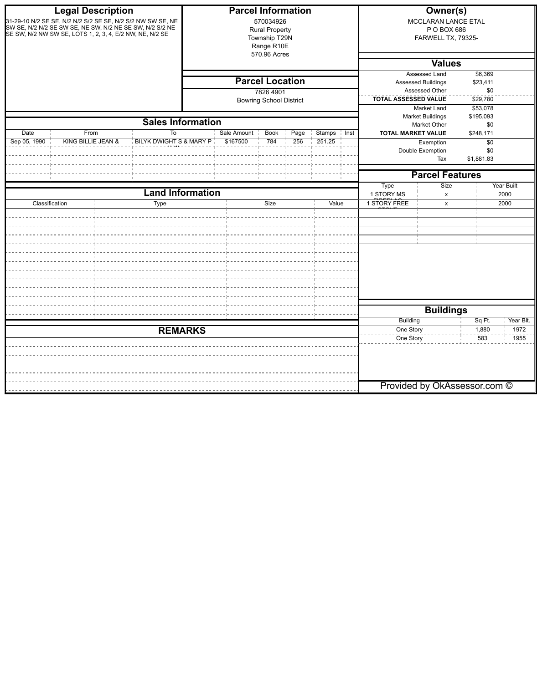|                      | <b>Legal Description</b>                                                                                                                                                            |                          |  | <b>Parcel Information</b>                                                         |      |                                               | Owner(s)                                                                                                                                                                |                                      |                                              |  |
|----------------------|-------------------------------------------------------------------------------------------------------------------------------------------------------------------------------------|--------------------------|--|-----------------------------------------------------------------------------------|------|-----------------------------------------------|-------------------------------------------------------------------------------------------------------------------------------------------------------------------------|--------------------------------------|----------------------------------------------|--|
|                      | 31-29-10 N/2 SE SE, N/2 N/2 S/2 SE SE, N/2 S/2 NW SW SE, NE<br>SW SE, N/2 N/2 SE SW SE, NE SW, N/2 NE SE SW, N/2 S/2 NE<br>SE SW, N/2 NW SW SE, LOTS 1, 2, 3, 4, E/2 NW, NE, N/2 SE |                          |  | 570034926<br><b>Rural Property</b><br>Township T29N<br>Range R10E<br>570.96 Acres |      |                                               | <b>MCCLARAN LANCE ETAL</b><br>P O BOX 686<br>FARWELL TX, 79325-                                                                                                         |                                      |                                              |  |
|                      |                                                                                                                                                                                     |                          |  |                                                                                   |      |                                               |                                                                                                                                                                         | <b>Values</b>                        |                                              |  |
|                      |                                                                                                                                                                                     |                          |  | <b>Parcel Location</b><br>7826 4901<br><b>Bowring School District</b>             |      |                                               | <b>Assessed Land</b><br>\$6,369<br><b>Assessed Buildings</b><br>\$23,411<br>Assessed Other<br>\$0<br><b>TOTAL ASSESSED VALUE</b><br>\$29,780<br>Market Land<br>\$53,078 |                                      |                                              |  |
|                      |                                                                                                                                                                                     |                          |  |                                                                                   |      |                                               |                                                                                                                                                                         | <b>Market Buildings</b>              | \$195,093                                    |  |
|                      |                                                                                                                                                                                     | <b>Sales Information</b> |  | <b>Book</b>                                                                       | Page |                                               |                                                                                                                                                                         | <b>Market Other</b>                  | \$0                                          |  |
| Date<br>Sep 05, 1990 | From<br>Sale Amount<br>To<br>BILYK DWIGHT S & MARY P<br>KING BILLIE JEAN &<br>\$167500<br>784                                                                                       |                          |  |                                                                                   |      | <b>Stamps</b><br>$\frac{1}{1}$ Inst<br>251.25 | <b>TOTAL MARKET VALUE</b>                                                                                                                                               | Exemption<br>Double Exemption<br>Tax | \$248,171<br>$\sqrt{6}$<br>\$0<br>\$1,881.83 |  |
|                      |                                                                                                                                                                                     |                          |  |                                                                                   |      |                                               | <b>Parcel Features</b>                                                                                                                                                  |                                      |                                              |  |
|                      |                                                                                                                                                                                     |                          |  |                                                                                   |      |                                               | <b>Type</b>                                                                                                                                                             | Size                                 | <b>Year Built</b>                            |  |
| Classification       |                                                                                                                                                                                     | <b>Land Information</b>  |  |                                                                                   |      |                                               | 1 STORY MS<br><b>1 STORY FREE</b>                                                                                                                                       | $\mathsf{x}$                         | 2000                                         |  |
|                      |                                                                                                                                                                                     |                          |  |                                                                                   |      |                                               |                                                                                                                                                                         |                                      |                                              |  |
|                      |                                                                                                                                                                                     | <b>REMARKS</b>           |  |                                                                                   |      |                                               | <b>Building</b><br>One Story                                                                                                                                            | <b>Buildings</b>                     | Sq Ft.<br>Year Blt.<br>1,880<br>1972         |  |
|                      |                                                                                                                                                                                     |                          |  |                                                                                   |      |                                               | One Story                                                                                                                                                               | Provided by OkAssessor.com ©         | 583<br>1955                                  |  |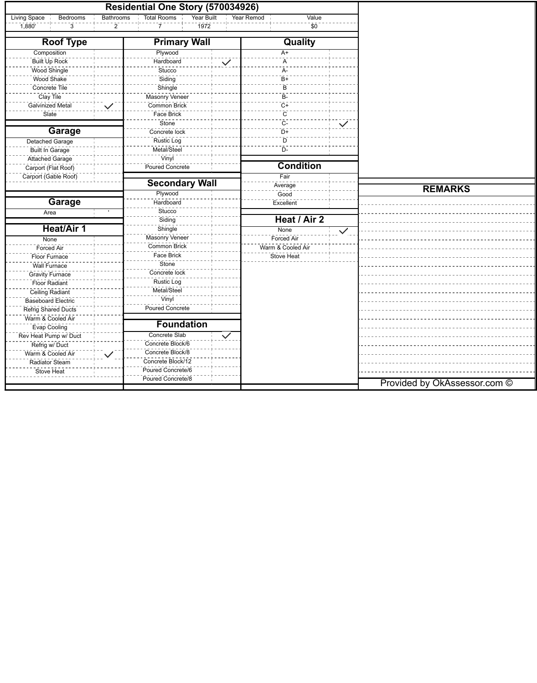|                                 | Residential One Story (570034926)             |                     |              |                              |
|---------------------------------|-----------------------------------------------|---------------------|--------------|------------------------------|
| <b>Living Space</b><br>Bedrooms | <b>Total Rooms</b><br>Year Built<br>Bathrooms | Year Remod<br>Value |              |                              |
| $\overline{1,880}$<br>3         | 1972<br>$\overline{7}$<br>$\mathbf{2}$        | \$0                 |              |                              |
| <b>Roof Type</b>                | <b>Primary Wall</b>                           | <b>Quality</b>      |              |                              |
| Composition                     | Plywood                                       | A+                  |              |                              |
| Built Up Rock                   | Hardboard<br>$\checkmark$                     | A                   |              |                              |
| Wood Shingle                    | Stucco                                        | A-                  |              |                              |
| Wood Shake                      | Siding                                        | $B +$               |              |                              |
| Concrete Tile                   | Shingle                                       | B                   |              |                              |
| Clay Tile                       | Masonry Veneer                                | <b>B-</b>           |              |                              |
| Galvinized Metal                | Common Brick<br>$\checkmark$                  | $C+$                |              |                              |
| Slate                           | Face Brick                                    | $\overline{C}$      |              |                              |
|                                 | Stone <sup>®</sup>                            | $C-$                | $\checkmark$ |                              |
| Garage                          | Concrete lock                                 | $D+$                |              |                              |
| <b>Detached Garage</b>          | Rustic Log                                    | D                   |              |                              |
| <b>Built In Garage</b>          | Metal/Steel                                   | $D -$               |              |                              |
| Attached Garage                 | Vinyl                                         |                     |              |                              |
| Carport (Flat Roof)             | Poured Concrete                               | <b>Condition</b>    |              |                              |
| Carport (Gable Roof)            |                                               | Fair                |              |                              |
|                                 | <b>Secondary Wall</b>                         | Average             |              | <b>REMARKS</b>               |
|                                 | Plywood                                       | Good                |              |                              |
| <b>Garage</b>                   | Hardboard                                     | Excellent           |              |                              |
| Area                            | <b>Stucco</b>                                 |                     |              |                              |
|                                 | Siding                                        | Heat / Air 2        |              |                              |
| <b>Heat/Air 1</b>               | Shingle                                       | None                | $\checkmark$ |                              |
| None                            | Masonry Veneer                                | Forced Air          |              |                              |
| Forced Air                      | Common Brick                                  | Warm & Cooled Air   |              |                              |
| Floor Furnace                   | <b>Face Brick</b>                             | Stove Heat          |              |                              |
| Wall Furnace                    | Stone                                         |                     |              |                              |
| <b>Gravity Furnace</b>          | Concrete lock                                 |                     |              |                              |
| <b>Floor Radiant</b>            | <b>Rustic Log</b>                             |                     |              |                              |
| <b>Ceiling Radiant</b>          | Metal/Steel                                   |                     |              |                              |
| Baseboard Electric              | Vinyl                                         |                     |              |                              |
| <b>Refrig Shared Ducts</b>      | Poured Concrete                               |                     |              |                              |
| Warm & Cooled Air               |                                               |                     |              |                              |
| <b>Evap Cooling</b>             | <b>Foundation</b>                             |                     |              |                              |
| Rev Heat Pump w/ Duct           | Concrete Slab<br>$\checkmark$                 |                     |              |                              |
| Refrig w/ Duct                  | Concrete Block/6                              |                     |              |                              |
| Warm & Cooled Air               | Concrete Block/8<br>$\checkmark$              |                     |              |                              |
| Radiator Steam                  | Concrete Block/12                             |                     |              |                              |
| <b>Stove Heat</b>               | Poured Concrete/6                             |                     |              |                              |
|                                 | Poured Concrete/8                             |                     |              | Provided by OkAssessor.com © |
|                                 |                                               |                     |              |                              |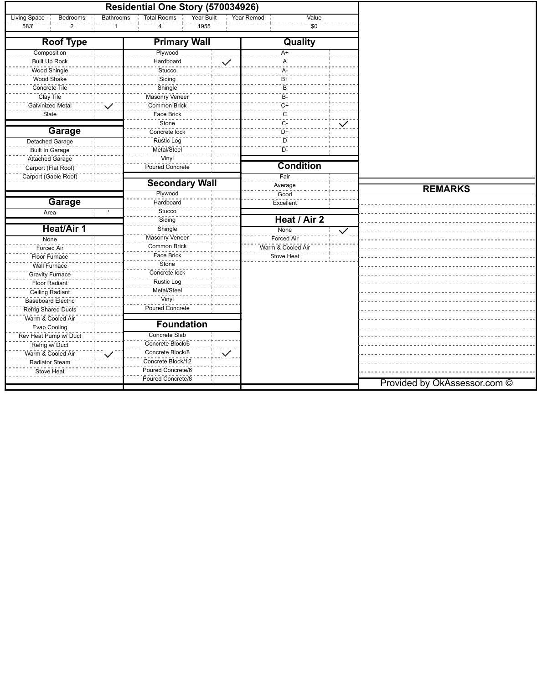|                                 | Residential One Story (570034926)                |                     |              |                              |
|---------------------------------|--------------------------------------------------|---------------------|--------------|------------------------------|
| <b>Living Space</b><br>Bedrooms | Bathrooms<br><b>Total Rooms</b><br>Year Built    | Value<br>Year Remod |              |                              |
| 583'<br>$\overline{2}$          | 1955<br>4                                        | \$0                 |              |                              |
| <b>Roof Type</b>                | <b>Primary Wall</b>                              |                     |              |                              |
| Composition                     | Plywood                                          | A+                  |              |                              |
| Built Up Rock                   | Hardboard<br>$\checkmark$                        | A                   |              |                              |
| Wood Shingle                    | Stucco                                           | A-                  |              |                              |
| Wood Shake                      | Siding                                           | $B+$                |              |                              |
| Concrete Tile                   | Shingle                                          | B                   |              |                              |
| Clay Tile                       | Masonry Veneer                                   | $B-$                |              |                              |
| Galvinized Metal                | Common Brick<br>$\checkmark$                     | $C+$                |              |                              |
| Slate                           | <b>Face Brick</b>                                | $\mathsf{C}$        |              |                              |
|                                 | Stone                                            | $C-$                | $\checkmark$ |                              |
| <b>Garage</b>                   | Concrete lock                                    | $D+$                |              |                              |
| Detached Garage                 | <b>Rustic Log</b>                                | D                   |              |                              |
| <b>Built In Garage</b>          | Metal/Steel                                      | $D -$               |              |                              |
| Attached Garage                 | Vinyl                                            |                     |              |                              |
| Carport (Flat Roof)             | Poured Concrete                                  | <b>Condition</b>    |              |                              |
| Carport (Gable Roof)            |                                                  | Fair                |              |                              |
|                                 | <b>Secondary Wall</b>                            | Average             |              |                              |
|                                 | Plywood                                          | Good                |              | <b>REMARKS</b>               |
| <b>Garage</b>                   | Hardboard                                        | Excellent           |              |                              |
| Area                            | Stucco                                           |                     |              |                              |
|                                 | Siding                                           | Heat / Air 2        |              |                              |
| <b>Heat/Air 1</b>               | Shingle                                          | None                | $\checkmark$ |                              |
| None                            | Masonry Veneer                                   | Forced Air          |              |                              |
| Forced Air                      | Common Brick                                     | Warm & Cooled Air   |              |                              |
| Floor Furnace                   | <b>Face Brick</b>                                | Stove Heat          |              |                              |
| Wall Furnace                    | Stone                                            |                     |              |                              |
| <b>Gravity Furnace</b>          | Concrete lock                                    |                     |              |                              |
| Floor Radiant                   | <b>Rustic Log</b>                                |                     |              |                              |
| Ceiling Radiant                 | Metal/Steel                                      |                     |              |                              |
| Baseboard Electric              | Vinyl                                            |                     |              |                              |
| Refrig Shared Ducts             | Poured Concrete                                  |                     |              |                              |
| Warm & Cooled Air               |                                                  |                     |              |                              |
| <b>Evap Cooling</b>             | <b>Foundation</b>                                |                     |              |                              |
| Rev Heat Pump w/ Duct           | <b>Concrete Slab</b>                             |                     |              |                              |
| Refrig w/ Duct                  | Concrete Block/6                                 |                     |              |                              |
| Warm & Cooled Air               | Concrete Block/8<br>$\checkmark$<br>$\checkmark$ |                     |              |                              |
| Radiator Steam                  | Concrete Block/12                                |                     |              |                              |
| Stove Heat                      | Poured Concrete/6                                |                     |              |                              |
|                                 | Poured Concrete/8                                |                     |              |                              |
|                                 |                                                  |                     |              | Provided by OkAssessor.com © |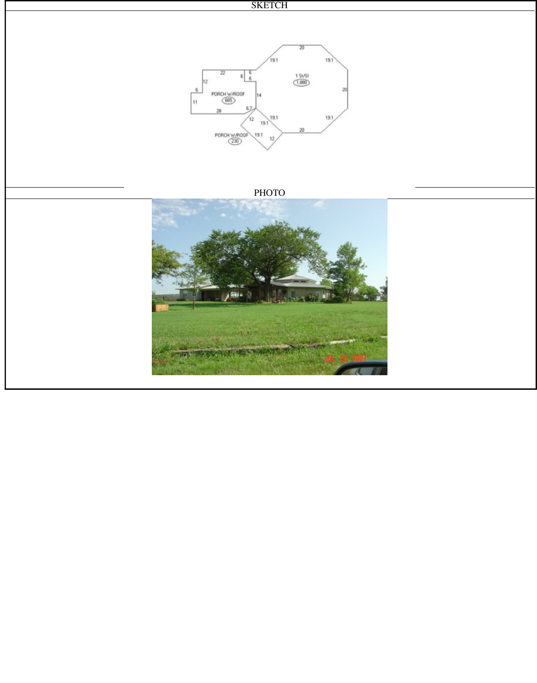

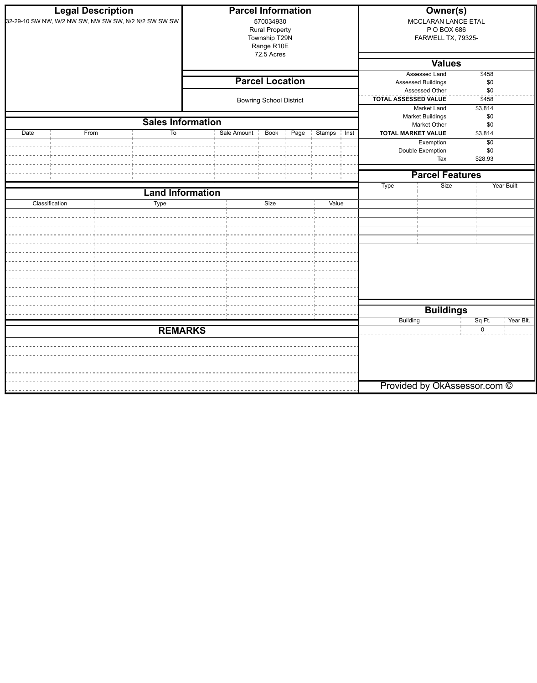|                                                       | <b>Legal Description</b> |                          |                                                                   | <b>Parcel Information</b>      |      |               | <b>Owner(s)</b>                                                                                                                         |                                               |                              |            |
|-------------------------------------------------------|--------------------------|--------------------------|-------------------------------------------------------------------|--------------------------------|------|---------------|-----------------------------------------------------------------------------------------------------------------------------------------|-----------------------------------------------|------------------------------|------------|
| 32-29-10 SW NW, W/2 NW SW, NW SW SW, N/2 N/2 SW SW SW |                          |                          | 570034930<br><b>Rural Property</b><br>Township T29N<br>Range R10E |                                |      |               | <b>MCCLARAN LANCE ETAL</b><br>P O BOX 686<br>FARWELL TX, 79325-                                                                         |                                               |                              |            |
|                                                       |                          |                          |                                                                   | 72.5 Acres                     |      |               | <b>Values</b>                                                                                                                           |                                               |                              |            |
|                                                       |                          |                          |                                                                   | <b>Parcel Location</b>         |      |               | <b>Assessed Land</b><br>\$458<br>Assessed Buildings<br>\$0<br>Assessed Other<br>\$0<br><b>TOTAL ASSESSED VALUE</b><br>$\overline{$458}$ |                                               |                              |            |
|                                                       |                          |                          |                                                                   |                                |      |               |                                                                                                                                         |                                               |                              |            |
|                                                       |                          |                          |                                                                   | <b>Bowring School District</b> |      |               |                                                                                                                                         |                                               |                              |            |
|                                                       |                          |                          |                                                                   |                                |      |               |                                                                                                                                         | <b>Market Land</b><br><b>Market Buildings</b> | \$3,814<br>\$0               |            |
|                                                       |                          | <b>Sales Information</b> |                                                                   |                                |      |               |                                                                                                                                         | <b>Market Other</b>                           | \$0                          |            |
| $\overline{Date}$                                     | From                     | To                       | Sale Amount                                                       | Book                           | Page | Stamps   Inst |                                                                                                                                         | <b>TOTAL MARKET VALUE</b><br>Exemption        | $\sqrt{3,814}$<br>$\sqrt{6}$ |            |
|                                                       |                          |                          |                                                                   |                                |      |               |                                                                                                                                         | Double Exemption                              | \$0                          |            |
|                                                       |                          |                          |                                                                   |                                |      |               |                                                                                                                                         | Tax                                           | \$28.93                      |            |
|                                                       |                          |                          |                                                                   |                                |      |               |                                                                                                                                         | <b>Parcel Features</b>                        |                              |            |
|                                                       |                          |                          |                                                                   |                                |      |               | <b>Type</b>                                                                                                                             | Size                                          |                              | Year Built |
|                                                       | Classification           | <b>Land Information</b>  |                                                                   | Size                           |      | Value         |                                                                                                                                         |                                               |                              |            |
|                                                       |                          | <b>Type</b>              |                                                                   |                                |      |               |                                                                                                                                         |                                               |                              |            |
|                                                       |                          |                          |                                                                   |                                |      |               |                                                                                                                                         |                                               |                              |            |
|                                                       |                          |                          |                                                                   |                                |      |               |                                                                                                                                         |                                               |                              |            |
|                                                       |                          |                          |                                                                   |                                |      |               |                                                                                                                                         |                                               |                              |            |
|                                                       |                          |                          |                                                                   |                                |      |               |                                                                                                                                         |                                               |                              |            |
|                                                       |                          |                          |                                                                   |                                |      |               |                                                                                                                                         |                                               |                              |            |
|                                                       |                          |                          |                                                                   |                                |      |               |                                                                                                                                         |                                               |                              |            |
|                                                       |                          |                          |                                                                   |                                |      |               |                                                                                                                                         |                                               |                              |            |
|                                                       |                          |                          |                                                                   |                                |      |               |                                                                                                                                         |                                               |                              |            |
|                                                       |                          |                          |                                                                   |                                |      |               | Building                                                                                                                                | <b>Buildings</b>                              | Sq Ft.                       | Year Blt.  |
|                                                       | <b>REMARKS</b>           |                          |                                                                   |                                |      |               |                                                                                                                                         |                                               | 0                            |            |
|                                                       |                          |                          |                                                                   |                                |      |               |                                                                                                                                         |                                               |                              |            |
|                                                       |                          |                          |                                                                   |                                |      |               |                                                                                                                                         |                                               |                              |            |
|                                                       |                          |                          |                                                                   |                                |      |               |                                                                                                                                         |                                               |                              |            |
|                                                       |                          |                          |                                                                   |                                |      |               |                                                                                                                                         |                                               |                              |            |
|                                                       |                          |                          |                                                                   |                                |      |               |                                                                                                                                         | Provided by OkAssessor.com ©                  |                              |            |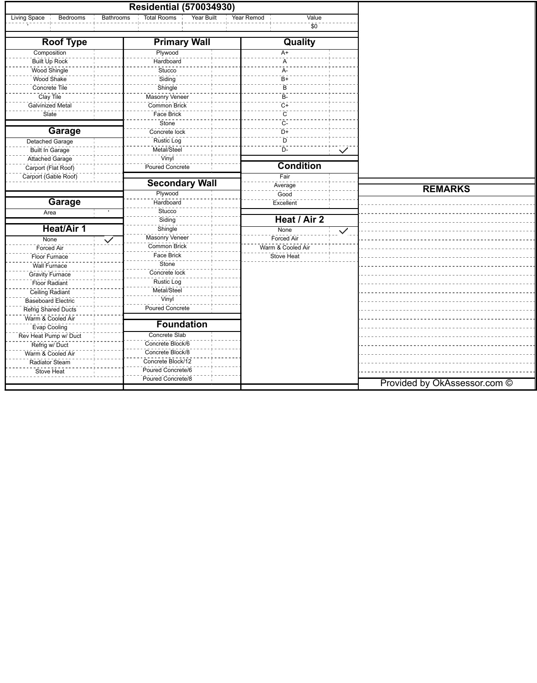|                                       |                  | <b>Residential (570034930)</b>          |            |                   |              |                              |
|---------------------------------------|------------------|-----------------------------------------|------------|-------------------|--------------|------------------------------|
| Living Space<br>Bedrooms              | <b>Bathrooms</b> | <b>Total Rooms</b><br><b>Year Built</b> | Year Remod | Value             |              |                              |
|                                       |                  |                                         |            | \$0               |              |                              |
| <b>Roof Type</b>                      |                  | <b>Primary Wall</b>                     |            | Quality           |              |                              |
| Composition                           |                  | Plywood                                 |            | $A+$              |              |                              |
| Built Up Rock                         |                  | Hardboard                               |            | A                 |              |                              |
| Wood Shingle                          |                  | Stucco                                  |            | A-                |              |                              |
| Wood Shake                            |                  | Siding                                  |            | $B+$              |              |                              |
| Concrete Tile                         |                  | Shingle                                 |            | B                 |              |                              |
| Clay Tile                             |                  | Masonry Veneer                          |            | B-                |              |                              |
| Galvinized Metal                      |                  | Common Brick                            |            | $C+$              |              |                              |
| Slate                                 |                  | Face Brick                              |            | $\mathsf{C}$      |              |                              |
|                                       |                  | Stone                                   |            | $C-$              |              |                              |
| <b>Garage</b>                         |                  | Concrete lock                           |            | $D+$              |              |                              |
| <b>Detached Garage</b>                |                  | <b>Rustic Log</b>                       |            | D                 |              |                              |
| <b>Built In Garage</b>                |                  | Metal/Steel                             |            | $D-$              | $\checkmark$ |                              |
| Attached Garage                       |                  | Vinyl                                   |            |                   |              |                              |
| Carport (Flat Roof)                   |                  | Poured Concrete                         |            | <b>Condition</b>  |              |                              |
| Carport (Gable Roof)                  |                  |                                         |            | Fair              |              |                              |
|                                       |                  | <b>Secondary Wall</b>                   |            | Average           |              |                              |
|                                       |                  | Plywood                                 |            | Good              |              | <b>REMARKS</b>               |
| <b>Garage</b>                         |                  | Hardboard                               |            | Excellent         |              |                              |
| Area                                  |                  | Stucco                                  |            |                   |              |                              |
|                                       |                  | Siding                                  |            | Heat / Air 2      |              |                              |
| <b>Heat/Air 1</b>                     |                  | Shingle                                 |            | None              | $\checkmark$ |                              |
| None                                  |                  | Masonry Veneer                          |            | Forced Air        |              |                              |
| <b>Forced Air</b>                     | $\checkmark$     | Common Brick                            |            | Warm & Cooled Air |              |                              |
| Floor Furnace                         |                  | Face Brick                              |            | <b>Stove Heat</b> |              |                              |
| <b>Wall Furnace</b>                   |                  | Stone                                   |            |                   |              |                              |
| <b>Gravity Furnace</b>                |                  | Concrete lock                           |            |                   |              |                              |
| <b>Floor Radiant</b>                  |                  | <b>Rustic Log</b>                       |            |                   |              |                              |
|                                       |                  | Metal/Steel                             |            |                   |              |                              |
| Ceiling Radiant<br>Baseboard Electric |                  | Vinyl                                   |            |                   |              |                              |
|                                       |                  | <b>Poured Concrete</b>                  |            |                   |              |                              |
| Refrig Shared Ducts                   |                  |                                         |            |                   |              |                              |
| Warm & Cooled Air                     |                  | <b>Foundation</b>                       |            |                   |              |                              |
| <b>Evap Cooling</b>                   |                  | <b>Concrete Slab</b>                    |            |                   |              |                              |
| Rev Heat Pump w/ Duct                 |                  | Concrete Block/6                        |            |                   |              |                              |
| Refrig w/ Duct                        |                  | Concrete Block/8                        |            |                   |              |                              |
| Warm & Cooled Air                     |                  | Concrete Block/12                       |            |                   |              |                              |
| Radiator Steam                        |                  | Poured Concrete/6                       |            |                   |              |                              |
| Stove Heat                            |                  | Poured Concrete/8                       |            |                   |              |                              |
|                                       |                  |                                         |            |                   |              | Provided by OkAssessor.com © |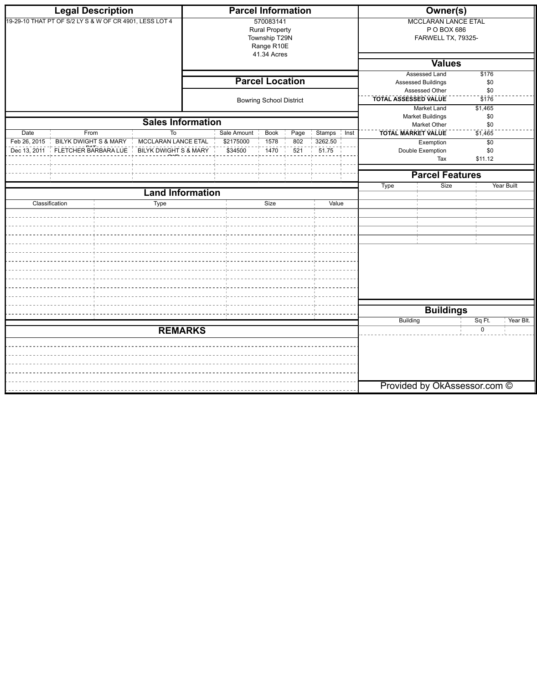|                                                         | <b>Legal Description</b>                 |                           | <b>Parcel Information</b>                                                        |                                                          |                  |                                                |                                                                                                                                          | Owner(s)                                                        |                              |  |  |
|---------------------------------------------------------|------------------------------------------|---------------------------|----------------------------------------------------------------------------------|----------------------------------------------------------|------------------|------------------------------------------------|------------------------------------------------------------------------------------------------------------------------------------------|-----------------------------------------------------------------|------------------------------|--|--|
| 19-29-10 THAT PT OF S/2 LY S & W OF CR 4901, LESS LOT 4 |                                          |                           | 570083141<br><b>Rural Property</b><br>Township T29N<br>Range R10E<br>41.34 Acres |                                                          |                  |                                                |                                                                                                                                          | <b>MCCLARAN LANCE ETAL</b><br>P O BOX 686<br>FARWELL TX, 79325- |                              |  |  |
|                                                         |                                          |                           |                                                                                  |                                                          |                  |                                                | <b>Values</b>                                                                                                                            |                                                                 |                              |  |  |
|                                                         |                                          |                           |                                                                                  | <b>Parcel Location</b><br><b>Bowring School District</b> |                  |                                                | <b>Assessed Land</b><br>\$176<br><b>Assessed Buildings</b><br>\$0<br>Assessed Other<br>\$0<br>TOTAL ASSESSED VALUE<br>$\overline{\$176}$ |                                                                 |                              |  |  |
|                                                         |                                          |                           |                                                                                  |                                                          |                  |                                                |                                                                                                                                          | \$1,465<br><b>Market Land</b><br><b>Market Buildings</b><br>\$0 |                              |  |  |
|                                                         |                                          | <b>Sales Information</b>  |                                                                                  |                                                          |                  |                                                |                                                                                                                                          | <b>Market Other</b>                                             | \$0                          |  |  |
| <b>Date</b><br>Feb 26, 2015                             | From<br><b>BILYK DWIGHT S &amp; MARY</b> | То<br>MCCLARAN LANCE ETAL | Sale Amount<br>\$2175000                                                         | <b>Book</b><br>1578                                      | Page<br>802      | <b>Stamps</b><br>$\frac{1}{1}$ Inst<br>3262.50 |                                                                                                                                          | <b>TOTAL MARKET VALUE</b><br>Exemption                          | \$1,465<br>$\sqrt{6}$        |  |  |
| Dec 13, 2011 TELETCHER BARBARA LUET                     |                                          | BILYK DWIGHT S & MARY     | \$34500                                                                          | $\overline{1470}$                                        | $\overline{521}$ | 51.75                                          |                                                                                                                                          | Double Exemption<br>Tax                                         | \$0<br>\$11.12               |  |  |
|                                                         |                                          |                           |                                                                                  |                                                          |                  |                                                |                                                                                                                                          | <b>Parcel Features</b>                                          |                              |  |  |
|                                                         |                                          |                           |                                                                                  |                                                          |                  |                                                | <b>Type</b>                                                                                                                              | Size                                                            | <b>Year Built</b>            |  |  |
|                                                         |                                          | <b>Land Information</b>   |                                                                                  |                                                          |                  |                                                |                                                                                                                                          |                                                                 |                              |  |  |
|                                                         | Classification                           | <b>Type</b>               |                                                                                  | Size                                                     |                  | Value                                          |                                                                                                                                          |                                                                 |                              |  |  |
|                                                         |                                          |                           |                                                                                  |                                                          |                  |                                                |                                                                                                                                          |                                                                 |                              |  |  |
|                                                         |                                          |                           |                                                                                  |                                                          |                  |                                                |                                                                                                                                          |                                                                 |                              |  |  |
|                                                         |                                          |                           |                                                                                  |                                                          |                  |                                                |                                                                                                                                          |                                                                 |                              |  |  |
|                                                         |                                          |                           |                                                                                  |                                                          |                  |                                                |                                                                                                                                          |                                                                 |                              |  |  |
|                                                         |                                          |                           |                                                                                  |                                                          |                  |                                                |                                                                                                                                          | <b>Buildings</b>                                                |                              |  |  |
|                                                         |                                          |                           |                                                                                  |                                                          |                  |                                                | <b>Building</b>                                                                                                                          |                                                                 | Sq Ft.<br>Year Blt.          |  |  |
| <b>REMARKS</b>                                          |                                          |                           |                                                                                  |                                                          |                  |                                                |                                                                                                                                          |                                                                 | $\mathbf 0$                  |  |  |
|                                                         |                                          |                           |                                                                                  |                                                          |                  |                                                |                                                                                                                                          |                                                                 |                              |  |  |
|                                                         |                                          |                           |                                                                                  |                                                          |                  |                                                |                                                                                                                                          |                                                                 | Provided by OkAssessor.com © |  |  |
|                                                         |                                          |                           |                                                                                  |                                                          |                  |                                                |                                                                                                                                          |                                                                 |                              |  |  |